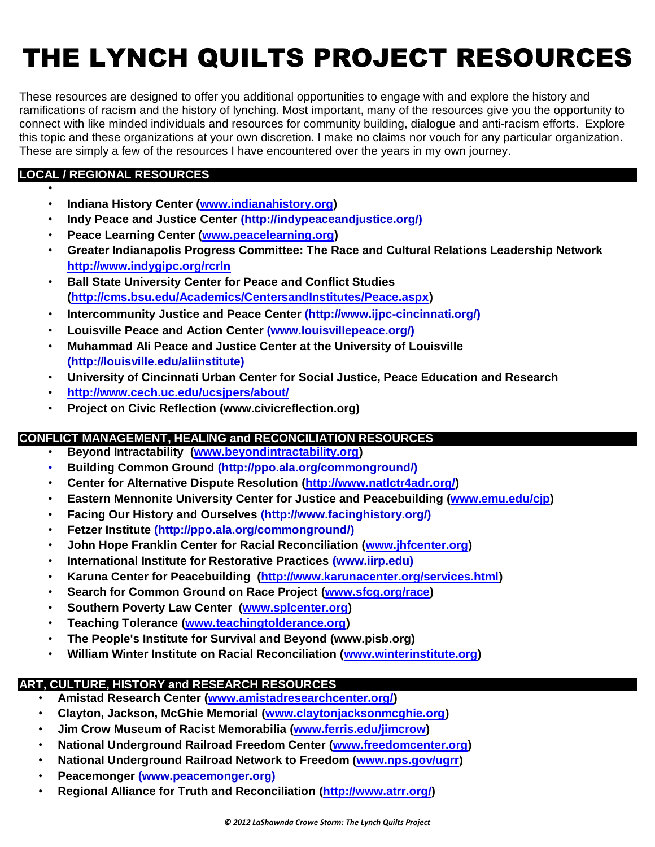# THE LYNCH QUILTS PROJECT RESOURCES

These resources are designed to offer you additional opportunities to engage with and explore the history and ramifications of racism and the history of lynching. Most important, many of the resources give you the opportunity to connect with like minded individuals and resources for community building, dialogue and anti-racism efforts. Explore this topic and these organizations at your own discretion. I make no claims nor vouch for any particular organization. These are simply a few of the resources I have encountered over the years in my own journey.

# **LOCAL / REGIONAL RESOURCES**

•

- **Indiana History Center [\(www.indianahistory.org\)](http://www.indianahistory.org/)**
- **Indy Peace and Justice Center (http://indypeaceandjustice.org/)**
- **Peace Learning Center [\(www.peacelearning.org\)](http://www.peacelearning.org/)**
- **Greater Indianapolis Progress Committee: The Race and Cultural Relations Leadership Network <http://www.indygipc.org/rcrln>**
- **Ball State University Center for Peace and Conflict Studies [\(http://cms.bsu.edu/Academics/CentersandInstitutes/Peace.aspx\)](http://cms.bsu.edu/Academics/CentersandInstitutes/Peace.aspx)**
- **[Intercommunity](http://www.ijpc-cincinnati.org/) Justice and Peace Center (http://www.ijpc-cincinnati.org/)**
- **Louisville Peace and Action Center (www.louisvillepeace.org/)**
- **Muhammad Ali Peace and Justice Center at the University of Louisville (http://louisville.edu/aliinstitute)**
- **University of Cincinnati Urban Center for Social Justice, Peace Education and Research**
- **<http://www.cech.uc.edu/ucsjpers/about/>**
- **Project on Civic Reflection (www.civicreflection.org)**

#### **CONFLICT MANAGEMENT, HEALING and RECONCILIATION RESOURCES**

- **Beyond Intractability [\(www.beyondintractability.org\)](http://www.beyondintractability.org/)**
- **Building Common Ground (http://ppo.ala.org/commonground/)**
- **Center for Alternative Dispute Resolution [\(http://www.natlctr4adr.org/\)](http://www.natlctr4adr.org/)**
- **Eastern Mennonite University Center for Justice and Peacebuilding [\(www.emu.edu/cjp\)](http://www.emu.edu/cjp)**
- **Facing Our History and Ourselves (http://www.facinghistory.org/)**
- **Fetzer Institute (http://ppo.ala.org/commonground/)**
- **John Hope Franklin Center for Racial Reconciliation [\(www.jhfcenter.org\)](http://www.jhfcenter.org/)**
- **International Institute for Restorative Practices (www.iirp.edu)**
- **Karuna Center for Peacebuilding [\(http://www.karunacenter.org/services.html\)](http://www.karunacenter.org/services.html)**
- **Search for Common Ground on Race Project [\(www.sfcg.org/race\)](http://www.sfcg.org/race)**
- **Southern Poverty Law Center [\(www.splcenter.org\)](http://www.splcenter.org/)**
- **Teaching Tolerance [\(www.teachingtolderance.org\)](http://www.teachingtolderance.org/)**
- **The People's Institute for Survival and Beyond (www.pisb.org)**
- **William Winter Institute on Racial Reconciliation [\(www.winterinstitute.org\)](http://www.winterinstitute.org/)**

# **ART, CULTURE, HISTORY and RESEARCH RESOURCES**

- **Amistad Research Center [\(www.amistadresearchcenter.org/\)](http://www.amistadresearchcenter.org/)**
- **Clayton, Jackson, McGhie Memorial [\(www.claytonjacksonmcghie.org\)](http://www.claytonjacksonmcghie.org/)**
- **Jim Crow Museum of Racist Memorabilia [\(www.ferris.edu/jimcrow\)](http://www.ferris.edu/jimcrow)**
- **National Underground Railroad Freedom Center [\(www.freedomcenter.org\)](http://www.freedomcenter.org/)**
- **National Underground Railroad Network to Freedom [\(www.nps.gov/ugrr\)](http://www.nps.gov/ugrr)**
- **Peacemonger (www.peacemonger.org)**
- **Regional Alliance for Truth and Reconciliation [\(http://www.atrr.org/\)](http://www.atrr.org/)**